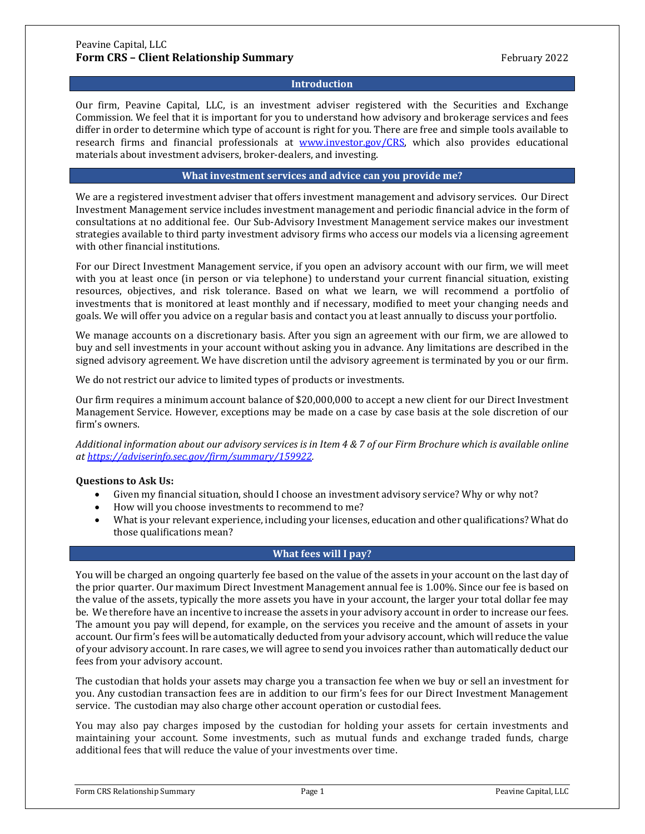#### **Introduction**

Our firm, Peavine Capital, LLC, is an investment adviser registered with the Securities and Exchange Commission. We feel that it is important for you to understand how advisory and brokerage services and fees differ in order to determine which type of account is right for you. There are free and simple tools available to research firms and financial professionals at [www.investor.gov/CRS,](http://www.investor.gov/CRS) which also provides educational materials about investment advisers, broker-dealers, and investing.

#### **What investment services and advice can you provide me?**

We are a registered investment adviser that offers investment management and advisory services. Our Direct Investment Management service includes investment management and periodic financial advice in the form of consultations at no additional fee. Our Sub-Advisory Investment Management service makes our investment strategies available to third party investment advisory firms who access our models via a licensing agreement with other financial institutions.

For our Direct Investment Management service, if you open an advisory account with our firm, we will meet with you at least once (in person or via telephone) to understand your current financial situation, existing resources, objectives, and risk tolerance. Based on what we learn, we will recommend a portfolio of investments that is monitored at least monthly and if necessary, modified to meet your changing needs and goals. We will offer you advice on a regular basis and contact you at least annually to discuss your portfolio.

We manage accounts on a discretionary basis. After you sign an agreement with our firm, we are allowed to buy and sell investments in your account without asking you in advance. Any limitations are described in the signed advisory agreement. We have discretion until the advisory agreement is terminated by you or our firm.

We do not restrict our advice to limited types of products or investments.

Our firm requires a minimum account balance of \$20,000,000 to accept a new client for our Direct Investment Management Service. However, exceptions may be made on a case by case basis at the sole discretion of our firm's owners.

*Additional information about our advisory services is in Item 4 & 7 of our Firm Brochure which is available online at [https://adviserinfo.sec.gov/firm/summary/159922.](https://adviserinfo.sec.gov/firm/summary/159922)*

# **Questions to Ask Us:**

- Given my financial situation, should I choose an investment advisory service? Why or why not?
- How will you choose investments to recommend to me?
- What is your relevant experience, including your licenses, education and other qualifications? What do those qualifications mean?

# **What fees will I pay?**

You will be charged an ongoing quarterly fee based on the value of the assets in your account on the last day of the prior quarter. Our maximum Direct Investment Management annual fee is 1.00%. Since our fee is based on the value of the assets, typically the more assets you have in your account, the larger your total dollar fee may be. We therefore have an incentive to increase the assets in your advisory account in order to increase our fees. The amount you pay will depend, for example, on the services you receive and the amount of assets in your account. Our firm's fees will be automatically deducted from your advisory account, which will reduce the value of your advisory account. In rare cases, we will agree to send you invoices rather than automatically deduct our fees from your advisory account.

The custodian that holds your assets may charge you a transaction fee when we buy or sell an investment for you. Any custodian transaction fees are in addition to our firm's fees for our Direct Investment Management service. The custodian may also charge other account operation or custodial fees.

You may also pay charges imposed by the custodian for holding your assets for certain investments and maintaining your account. Some investments, such as mutual funds and exchange traded funds, charge additional fees that will reduce the value of your investments over time.